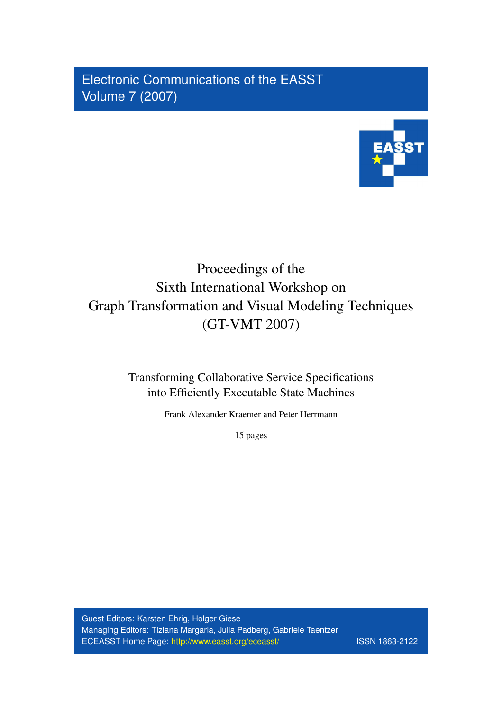Electronic Communications of the EASST Volume 7 (2007)



# Proceedings of the Sixth International Workshop on Graph Transformation and Visual Modeling Techniques (GT-VMT 2007)

Transforming Collaborative Service Specifications into Efficiently Executable State Machines

Frank Alexander Kraemer and Peter Herrmann

15 pages

Guest Editors: Karsten Ehrig, Holger Giese Managing Editors: Tiziana Margaria, Julia Padberg, Gabriele Taentzer ECEASST Home Page: <http://www.easst.org/eceasst/> ISSN 1863-2122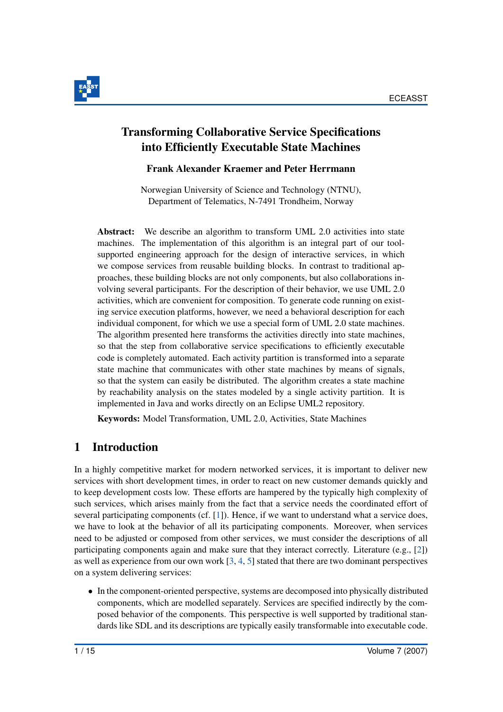

### Transforming Collaborative Service Specifications into Efficiently Executable State Machines

#### Frank Alexander Kraemer and Peter Herrmann

Norwegian University of Science and Technology (NTNU), Department of Telematics, N-7491 Trondheim, Norway

Abstract: We describe an algorithm to transform UML 2.0 activities into state machines. The implementation of this algorithm is an integral part of our toolsupported engineering approach for the design of interactive services, in which we compose services from reusable building blocks. In contrast to traditional approaches, these building blocks are not only components, but also collaborations involving several participants. For the description of their behavior, we use UML 2.0 activities, which are convenient for composition. To generate code running on existing service execution platforms, however, we need a behavioral description for each individual component, for which we use a special form of UML 2.0 state machines. The algorithm presented here transforms the activities directly into state machines, so that the step from collaborative service specifications to efficiently executable code is completely automated. Each activity partition is transformed into a separate state machine that communicates with other state machines by means of signals, so that the system can easily be distributed. The algorithm creates a state machine by reachability analysis on the states modeled by a single activity partition. It is implemented in Java and works directly on an Eclipse UML2 repository.

Keywords: Model Transformation, UML 2.0, Activities, State Machines

### 1 Introduction

In a highly competitive market for modern networked services, it is important to deliver new services with short development times, in order to react on new customer demands quickly and to keep development costs low. These efforts are hampered by the typically high complexity of such services, which arises mainly from the fact that a service needs the coordinated effort of several participating components (cf. [\[1\]](#page-14-0)). Hence, if we want to understand what a service does, we have to look at the behavior of all its participating components. Moreover, when services need to be adjusted or composed from other services, we must consider the descriptions of all participating components again and make sure that they interact correctly. Literature (e.g., [\[2\]](#page-14-1)) as well as experience from our own work  $[3, 4, 5]$  $[3, 4, 5]$  $[3, 4, 5]$  $[3, 4, 5]$  $[3, 4, 5]$  stated that there are two dominant perspectives on a system delivering services:

• In the component-oriented perspective, systems are decomposed into physically distributed components, which are modelled separately. Services are specified indirectly by the composed behavior of the components. This perspective is well supported by traditional standards like SDL and its descriptions are typically easily transformable into executable code.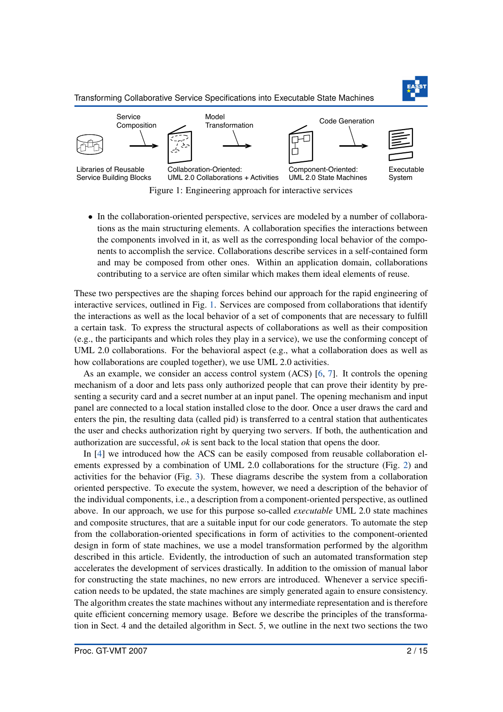<span id="page-2-0"></span>

• In the collaboration-oriented perspective, services are modeled by a number of collaborations as the main structuring elements. A collaboration specifies the interactions between the components involved in it, as well as the corresponding local behavior of the components to accomplish the service. Collaborations describe services in a self-contained form and may be composed from other ones. Within an application domain, collaborations contributing to a service are often similar which makes them ideal elements of reuse.

These two perspectives are the shaping forces behind our approach for the rapid engineering of interactive services, outlined in Fig. [1.](#page-2-0) Services are composed from collaborations that identify the interactions as well as the local behavior of a set of components that are necessary to fulfill a certain task. To express the structural aspects of collaborations as well as their composition (e.g., the participants and which roles they play in a service), we use the conforming concept of UML 2.0 collaborations. For the behavioral aspect (e.g., what a collaboration does as well as how collaborations are coupled together), we use UML 2.0 activities.

As an example, we consider an access control system (ACS) [\[6,](#page-14-5) [7\]](#page-15-0). It controls the opening mechanism of a door and lets pass only authorized people that can prove their identity by presenting a security card and a secret number at an input panel. The opening mechanism and input panel are connected to a local station installed close to the door. Once a user draws the card and enters the pin, the resulting data (called pid) is transferred to a central station that authenticates the user and checks authorization right by querying two servers. If both, the authentication and authorization are successful, *ok* is sent back to the local station that opens the door.

In [\[4\]](#page-14-3) we introduced how the ACS can be easily composed from reusable collaboration elements expressed by a combination of UML 2.0 collaborations for the structure (Fig. [2\)](#page-3-0) and activities for the behavior (Fig. [3\)](#page-3-1). These diagrams describe the system from a collaboration oriented perspective. To execute the system, however, we need a description of the behavior of the individual components, i.e., a description from a component-oriented perspective, as outlined above. In our approach, we use for this purpose so-called *executable* UML 2.0 state machines and composite structures, that are a suitable input for our code generators. To automate the step from the collaboration-oriented specifications in form of activities to the component-oriented design in form of state machines, we use a model transformation performed by the algorithm described in this article. Evidently, the introduction of such an automated transformation step accelerates the development of services drastically. In addition to the omission of manual labor for constructing the state machines, no new errors are introduced. Whenever a service specification needs to be updated, the state machines are simply generated again to ensure consistency. The algorithm creates the state machines without any intermediate representation and is therefore quite efficient concerning memory usage. Before we describe the principles of the transformation in Sect. 4 and the detailed algorithm in Sect. 5, we outline in the next two sections the two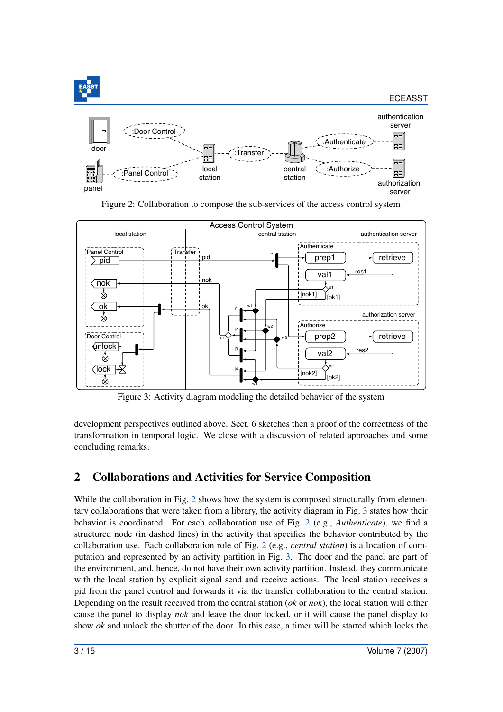<span id="page-3-0"></span>

Figure 2: Collaboration to compose the sub-services of the access control system

<span id="page-3-1"></span>

Figure 3: Activity diagram modeling the detailed behavior of the system

development perspectives outlined above. Sect. 6 sketches then a proof of the correctness of the transformation in temporal logic. We close with a discussion of related approaches and some concluding remarks.

# 2 Collaborations and Activities for Service Composition

While the collaboration in Fig. [2](#page-3-0) shows how the system is composed structurally from elementary collaborations that were taken from a library, the activity diagram in Fig. [3](#page-3-1) states how their behavior is coordinated. For each collaboration use of Fig. [2](#page-3-0) (e.g., *Authenticate*), we find a structured node (in dashed lines) in the activity that specifies the behavior contributed by the collaboration use. Each collaboration role of Fig. [2](#page-3-0) (e.g., *central station*) is a location of computation and represented by an activity partition in Fig. [3.](#page-3-1) The door and the panel are part of the environment, and, hence, do not have their own activity partition. Instead, they communicate with the local station by explicit signal send and receive actions. The local station receives a pid from the panel control and forwards it via the transfer collaboration to the central station. Depending on the result received from the central station (*ok* or *nok*), the local station will either cause the panel to display *nok* and leave the door locked, or it will cause the panel display to show *ok* and unlock the shutter of the door. In this case, a timer will be started which locks the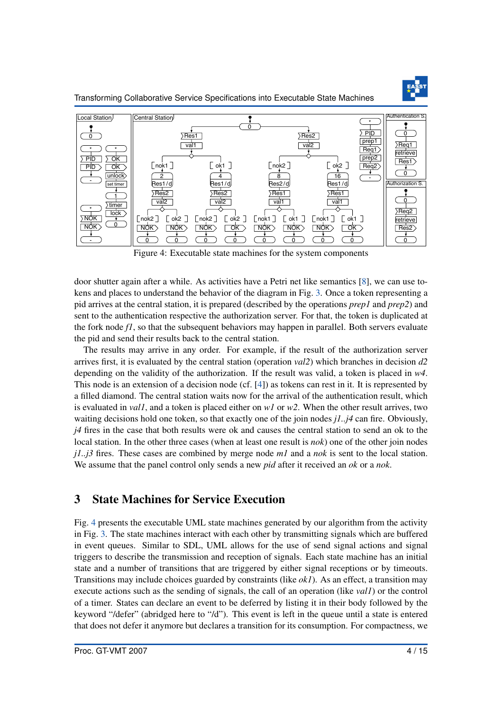

Transforming Collaborative Service Specifications into Executable State Machines

<span id="page-4-0"></span>

Figure 4: Executable state machines for the system components

door shutter again after a while. As activities have a Petri net like semantics [\[8\]](#page-15-1), we can use tokens and places to understand the behavior of the diagram in Fig. [3.](#page-3-1) Once a token representing a pid arrives at the central station, it is prepared (described by the operations *prep1* and *prep2*) and sent to the authentication respective the authorization server. For that, the token is duplicated at the fork node *f1*, so that the subsequent behaviors may happen in parallel. Both servers evaluate the pid and send their results back to the central station.

The results may arrive in any order. For example, if the result of the authorization server arrives first, it is evaluated by the central station (operation *val2*) which branches in decision *d2* depending on the validity of the authorization. If the result was valid, a token is placed in *w4*. This node is an extension of a decision node (cf. [\[4\]](#page-14-3)) as tokens can rest in it. It is represented by a filled diamond. The central station waits now for the arrival of the authentication result, which is evaluated in *val1*, and a token is placed either on *w1* or *w2*. When the other result arrives, two waiting decisions hold one token, so that exactly one of the join nodes *j1..j4* can fire. Obviously, *j4* fires in the case that both results were ok and causes the central station to send an ok to the local station. In the other three cases (when at least one result is *nok*) one of the other join nodes *j1..j3* fires. These cases are combined by merge node *m1* and a *nok* is sent to the local station. We assume that the panel control only sends a new *pid* after it received an *ok* or a *nok*.

### 3 State Machines for Service Execution

Fig. [4](#page-4-0) presents the executable UML state machines generated by our algorithm from the activity in Fig. [3.](#page-3-1) The state machines interact with each other by transmitting signals which are buffered in event queues. Similar to SDL, UML allows for the use of send signal actions and signal triggers to describe the transmission and reception of signals. Each state machine has an initial state and a number of transitions that are triggered by either signal receptions or by timeouts. Transitions may include choices guarded by constraints (like *ok1*). As an effect, a transition may execute actions such as the sending of signals, the call of an operation (like *val1*) or the control of a timer. States can declare an event to be deferred by listing it in their body followed by the keyword "/defer" (abridged here to "/d"). This event is left in the queue until a state is entered that does not defer it anymore but declares a transition for its consumption. For compactness, we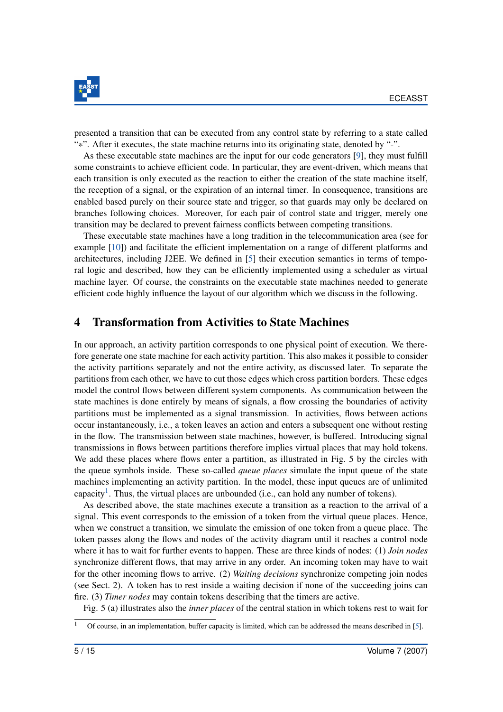

presented a transition that can be executed from any control state by referring to a state called "\*". After it executes, the state machine returns into its originating state, denoted by "-".

As these executable state machines are the input for our code generators [\[9\]](#page-15-2), they must fulfill some constraints to achieve efficient code. In particular, they are event-driven, which means that each transition is only executed as the reaction to either the creation of the state machine itself, the reception of a signal, or the expiration of an internal timer. In consequence, transitions are enabled based purely on their source state and trigger, so that guards may only be declared on branches following choices. Moreover, for each pair of control state and trigger, merely one transition may be declared to prevent fairness conflicts between competing transitions.

These executable state machines have a long tradition in the telecommunication area (see for example [\[10\]](#page-15-3)) and facilitate the efficient implementation on a range of different platforms and architectures, including J2EE. We defined in [\[5\]](#page-14-4) their execution semantics in terms of temporal logic and described, how they can be efficiently implemented using a scheduler as virtual machine layer. Of course, the constraints on the executable state machines needed to generate efficient code highly influence the layout of our algorithm which we discuss in the following.

#### 4 Transformation from Activities to State Machines

In our approach, an activity partition corresponds to one physical point of execution. We therefore generate one state machine for each activity partition. This also makes it possible to consider the activity partitions separately and not the entire activity, as discussed later. To separate the partitions from each other, we have to cut those edges which cross partition borders. These edges model the control flows between different system components. As communication between the state machines is done entirely by means of signals, a flow crossing the boundaries of activity partitions must be implemented as a signal transmission. In activities, flows between actions occur instantaneously, i.e., a token leaves an action and enters a subsequent one without resting in the flow. The transmission between state machines, however, is buffered. Introducing signal transmissions in flows between partitions therefore implies virtual places that may hold tokens. We add these places where flows enter a partition, as illustrated in Fig. 5 by the circles with the queue symbols inside. These so-called *queue places* simulate the input queue of the state machines implementing an activity partition. In the model, these input queues are of unlimited capacity<sup>[1](#page-5-0)</sup>. Thus, the virtual places are unbounded (i.e., can hold any number of tokens).

As described above, the state machines execute a transition as a reaction to the arrival of a signal. This event corresponds to the emission of a token from the virtual queue places. Hence, when we construct a transition, we simulate the emission of one token from a queue place. The token passes along the flows and nodes of the activity diagram until it reaches a control node where it has to wait for further events to happen. These are three kinds of nodes: (1) *Join nodes* synchronize different flows, that may arrive in any order. An incoming token may have to wait for the other incoming flows to arrive. (2) *Waiting decisions* synchronize competing join nodes (see Sect. 2). A token has to rest inside a waiting decision if none of the succeeding joins can fire. (3) *Timer nodes* may contain tokens describing that the timers are active.

Fig. 5 (a) illustrates also the *inner places* of the central station in which tokens rest to wait for

<span id="page-5-0"></span> $\overline{1}$  Of course, in an implementation, buffer capacity is limited, which can be addressed the means described in [\[5\]](#page-14-4).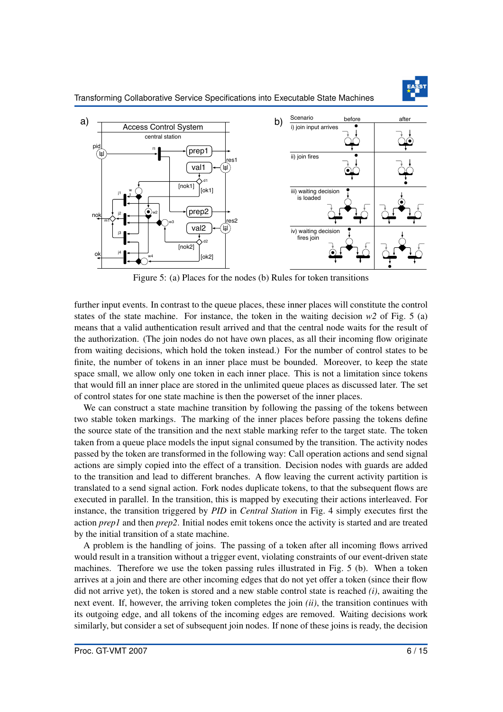

Figure 5: (a) Places for the nodes (b) Rules for token transitions

further input events. In contrast to the queue places, these inner places will constitute the control states of the state machine. For instance, the token in the waiting decision  $w^2$  of Fig. 5 (a) means that a valid authentication result arrived and that the central node waits for the result of the authorization. (The join nodes do not have own places, as all their incoming flow originate from waiting decisions, which hold the token instead.) For the number of control states to be finite, the number of tokens in an inner place must be bounded. Moreover, to keep the state space small, we allow only one token in each inner place. This is not a limitation since tokens that would fill an inner place are stored in the unlimited queue places as discussed later. The set of control states for one state machine is then the powerset of the inner places.

We can construct a state machine transition by following the passing of the tokens between two stable token markings. The marking of the inner places before passing the tokens define the source state of the transition and the next stable marking refer to the target state. The token taken from a queue place models the input signal consumed by the transition. The activity nodes passed by the token are transformed in the following way: Call operation actions and send signal actions are simply copied into the effect of a transition. Decision nodes with guards are added to the transition and lead to different branches. A flow leaving the current activity partition is translated to a send signal action. Fork nodes duplicate tokens, to that the subsequent flows are executed in parallel. In the transition, this is mapped by executing their actions interleaved. For instance, the transition triggered by *PID* in *Central Station* in Fig. 4 simply executes first the action *prep1* and then *prep2*. Initial nodes emit tokens once the activity is started and are treated by the initial transition of a state machine.

A problem is the handling of joins. The passing of a token after all incoming flows arrived would result in a transition without a trigger event, violating constraints of our event-driven state machines. Therefore we use the token passing rules illustrated in Fig. 5 (b). When a token arrives at a join and there are other incoming edges that do not yet offer a token (since their flow did not arrive yet), the token is stored and a new stable control state is reached *(i)*, awaiting the next event. If, however, the arriving token completes the join *(ii)*, the transition continues with its outgoing edge, and all tokens of the incoming edges are removed. Waiting decisions work similarly, but consider a set of subsequent join nodes. If none of these joins is ready, the decision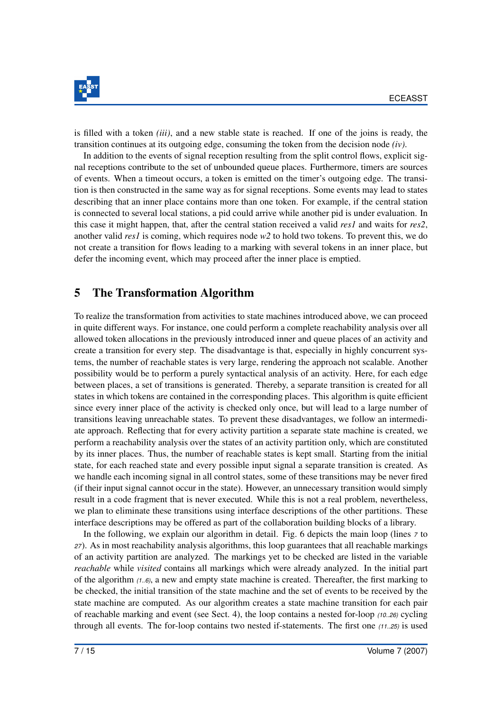

is filled with a token *(iii)*, and a new stable state is reached. If one of the joins is ready, the transition continues at its outgoing edge, consuming the token from the decision node *(iv)*.

In addition to the events of signal reception resulting from the split control flows, explicit signal receptions contribute to the set of unbounded queue places. Furthermore, timers are sources of events. When a timeout occurs, a token is emitted on the timer's outgoing edge. The transition is then constructed in the same way as for signal receptions. Some events may lead to states describing that an inner place contains more than one token. For example, if the central station is connected to several local stations, a pid could arrive while another pid is under evaluation. In this case it might happen, that, after the central station received a valid *res1* and waits for *res2*, another valid *res1* is coming, which requires node *w2* to hold two tokens. To prevent this, we do not create a transition for flows leading to a marking with several tokens in an inner place, but defer the incoming event, which may proceed after the inner place is emptied.

### 5 The Transformation Algorithm

To realize the transformation from activities to state machines introduced above, we can proceed in quite different ways. For instance, one could perform a complete reachability analysis over all allowed token allocations in the previously introduced inner and queue places of an activity and create a transition for every step. The disadvantage is that, especially in highly concurrent systems, the number of reachable states is very large, rendering the approach not scalable. Another possibility would be to perform a purely syntactical analysis of an activity. Here, for each edge between places, a set of transitions is generated. Thereby, a separate transition is created for all states in which tokens are contained in the corresponding places. This algorithm is quite efficient since every inner place of the activity is checked only once, but will lead to a large number of transitions leaving unreachable states. To prevent these disadvantages, we follow an intermediate approach. Reflecting that for every activity partition a separate state machine is created, we perform a reachability analysis over the states of an activity partition only, which are constituted by its inner places. Thus, the number of reachable states is kept small. Starting from the initial state, for each reached state and every possible input signal a separate transition is created. As we handle each incoming signal in all control states, some of these transitions may be never fired (if their input signal cannot occur in the state). However, an unnecessary transition would simply result in a code fragment that is never executed. While this is not a real problem, nevertheless, we plan to eliminate these transitions using interface descriptions of the other partitions. These interface descriptions may be offered as part of the collaboration building blocks of a library.

In the following, we explain our algorithm in detail. Fig. 6 depicts the main loop (lines *<sup>7</sup>* to *<sup>27</sup>*). As in most reachability analysis algorithms, this loop guarantees that all reachable markings of an activity partition are analyzed. The markings yet to be checked are listed in the variable *reachable* while *visited* contains all markings which were already analyzed. In the initial part of the algorithm *(1..6)*, a new and empty state machine is created. Thereafter, the first marking to be checked, the initial transition of the state machine and the set of events to be received by the state machine are computed. As our algorithm creates a state machine transition for each pair of reachable marking and event (see Sect. 4), the loop contains a nested for-loop *(10..26)* cycling through all events. The for-loop contains two nested if-statements. The first one *(11..25)* is used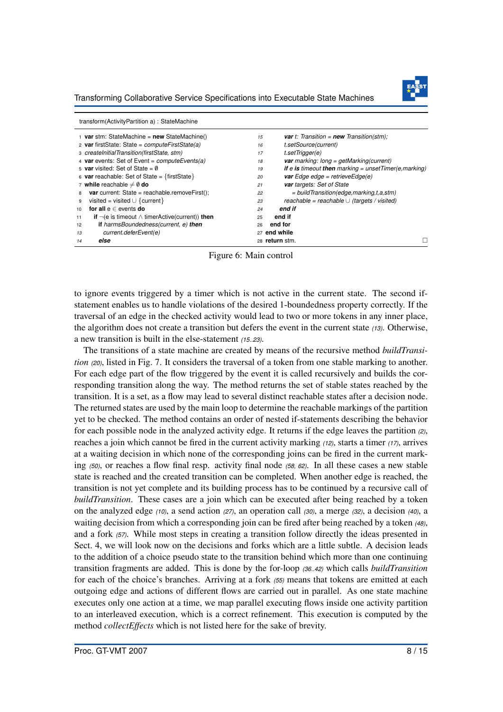Transforming Collaborative Service Specifications into Executable State Machines



|                 | transform(ActivityPartition a): StateMachine                      |    |                                                                              |
|-----------------|-------------------------------------------------------------------|----|------------------------------------------------------------------------------|
|                 | $\frac{1}{1}$ var stm: StateMachine = new StateMachine()          | 15 | <b>var</b> t: Transition = $new$ Transition(stm);                            |
|                 | 2 var firstState: State = $computeFirstState(a)$                  | 16 | t.setSource(current)                                                         |
|                 | 3 createInitialTransition(firstState, stm)                        | 17 | t.setTrigger(e)                                                              |
|                 | 4 var events: Set of Event = computeEvents(a)                     | 18 | <b>var</b> marking: $long = getMaking(current)$                              |
|                 | 5 var visited: Set of State = $\emptyset$                         | 19 | <b>if</b> e <b>is</b> timeout <b>then</b> marking = unset $Time(e, marking)$ |
|                 | 6 var reachable: Set of State = {firstState}                      | 20 | <b>var</b> Edge edge = retrieveEdge(e)                                       |
|                 | 7 while reachable $\neq \emptyset$ do                             | 21 | var targets: Set of State                                                    |
| 8               | <b>var</b> current: State = reachable.removeFirst();              | 22 | $=$ build Transition (edge, marking, t, a, stm)                              |
| 9               | visited = visited $\cup$ { current }                              | 23 | reachable = reachable $\cup$ (targets / visited)                             |
| 10 <sup>1</sup> | for all $e \in$ events do                                         | 24 | end if                                                                       |
| 11              | <b>if</b> $\neg$ (e is timeout $\land$ timerActive(current)) then | 25 | end if                                                                       |
| 12              | <b>if</b> harmsBoundedness(current, e) then                       | 26 | end for                                                                      |
| 13              | current.deferEvent(e)                                             |    | 27 end while                                                                 |
| 14              | else                                                              |    | 28 return stm.                                                               |

Figure 6: Main control

to ignore events triggered by a timer which is not active in the current state. The second ifstatement enables us to handle violations of the desired 1-boundedness property correctly. If the traversal of an edge in the checked activity would lead to two or more tokens in any inner place, the algorithm does not create a transition but defers the event in the current state *(13)*. Otherwise, a new transition is built in the else-statement *(15..23)*.

The transitions of a state machine are created by means of the recursive method *buildTransition (20)*, listed in Fig. 7. It considers the traversal of a token from one stable marking to another. For each edge part of the flow triggered by the event it is called recursively and builds the corresponding transition along the way. The method returns the set of stable states reached by the transition. It is a set, as a flow may lead to several distinct reachable states after a decision node. The returned states are used by the main loop to determine the reachable markings of the partition yet to be checked. The method contains an order of nested if-statements describing the behavior for each possible node in the analyzed activity edge. It returns if the edge leaves the partition *(2)*, reaches a join which cannot be fired in the current activity marking *(12)*, starts a timer *(17)*, arrives at a waiting decision in which none of the corresponding joins can be fired in the current marking *(50)*, or reaches a flow final resp. activity final node *(58, 62)*. In all these cases a new stable state is reached and the created transition can be completed. When another edge is reached, the transition is not yet complete and its building process has to be continued by a recursive call of *buildTransition*. These cases are a join which can be executed after being reached by a token on the analyzed edge *(10)*, a send action *(27)*, an operation call *(30)*, a merge *(32)*, a decision *(40)*, a waiting decision from which a corresponding join can be fired after being reached by a token *(48)*, and a fork *(57)*. While most steps in creating a transition follow directly the ideas presented in Sect. 4, we will look now on the decisions and forks which are a little subtle. A decision leads to the addition of a choice pseudo state to the transition behind which more than one continuing transition fragments are added. This is done by the for-loop *(36..42)* which calls *buildTransition* for each of the choice's branches. Arriving at a fork *(55)* means that tokens are emitted at each outgoing edge and actions of different flows are carried out in parallel. As one state machine executes only one action at a time, we map parallel executing flows inside one activity partition to an interleaved execution, which is a correct refinement. This execution is computed by the method *collectEffects* which is not listed here for the sake of brevity.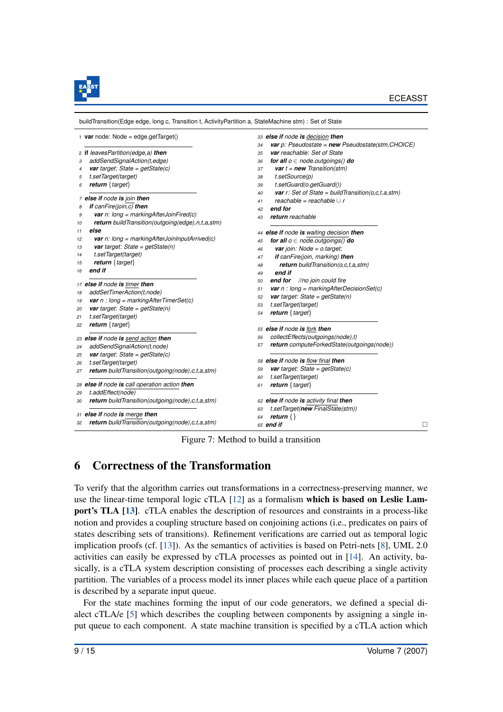

| $\frac{1}{1}$ var node: Node = edge.getTarget()            | 33 else if node is decision then                                   |
|------------------------------------------------------------|--------------------------------------------------------------------|
|                                                            | var p: Pseudostate = $new$ Pseudostate(stm, CHOICE)<br>34          |
| 2 if leavesPartition(edge, a) then                         | var reachable: Set of State<br>35                                  |
| addSendSignalAction(t,edge)<br>3                           | for all $o \in node.outgoings()$ do<br>36                          |
| <b>var</b> target: State = getState(c)<br>4                | <b>var</b> $t = new Transition(stm)$<br>37                         |
| t.setTarget(target)<br>5                                   | t.setSource(p)<br>38                                               |
| return $\{target\}$<br>6                                   | t.setGuard(o.getGuard())<br>39                                     |
|                                                            | <b>var</b> $r$ : Set of State = buildTransition(o,c,t,a,stm)<br>40 |
| 7 else if node is join then                                | reachable = reachable $\cup$ r<br>41                               |
| if canFire(join,c) then<br>8                               | end for<br>42                                                      |
| var n: long = markingAfterJoinFired(c)<br>9                | return reachable<br>43                                             |
| return buildTransition(outgoing(edge),n,t,a,stm)<br>10     |                                                                    |
| else<br>11                                                 | 44 else if node is waiting decision then                           |
| <b>var</b> n: long = markingAfterJoinInputArrived(c)<br>12 | for all $o \in node.outgoings()$ do<br>45                          |
| var target: State = $getState(n)$<br>13                    | var join: Node = $o$ target;<br>46                                 |
| t.setTarget(target)<br>14                                  | if canFire(join, marking) then<br>47                               |
| return $\{target\}$<br>15                                  | return buildTransition(o,c,t,a,stm)<br>48                          |
| end if<br>16                                               | end if<br>49                                                       |
|                                                            | end for<br>//no join could fire<br>50                              |
| 17 else if node is timer then                              | <b>var</b> $n : long = markingAfterDecisionSet(c)$<br>51           |
| addSetTimerAction(t,node)<br>18                            | <b>var</b> target: State = getState(n)<br>52                       |
| <b>var</b> $n : long = markingAfterTimerSet(c)$<br>19      | t.setTarget(target)<br>53                                          |
| <b>var</b> target: State = $getState(n)$<br>20             | return $\{target\}$<br>54                                          |
| t.setTarget(target)<br>21                                  |                                                                    |
| return $\{target\}$<br>22                                  | 55 else if node is fork then                                       |
| 23 else if node is send action then                        | collectEffects(outgoings(node),t)<br>56                            |
| addSendSignalAction(t,node)<br>24                          | return computeForkedState(outgoings(node))<br>57                   |
| var target: State = $getState(c)$<br>25                    |                                                                    |
| t.setTarget(target)<br>26                                  | 58 else if node is flow final then                                 |
| return buildTransition(outgoing(node), c,t, a, stm)<br>27  | <b>var</b> target: State = $getState(c)$<br>59                     |
|                                                            | t.setTarget(target)<br>60                                          |
| 28 else if node is call operation action then              | return $\{target\}$<br>61                                          |
| t.addEffect(node)<br>29                                    |                                                                    |
| return buildTransition(outgoing(node), c,t,a, stm)<br>30   | 62 else if node is activity final then                             |
|                                                            | t.setTarget(new FinalState(stm))<br>63                             |
| 31 else if node is merge then                              | return $\{\}$<br>64                                                |
| return buildTransition(outgoing(node), c,t,a, stm)<br>32   | 65 end if                                                          |

Figure 7: Method to build a transition

# 6 Correctness of the Transformation

To verify that the algorithm carries out transformations in a correctness-preserving manner, we use the linear-time temporal logic cTLA [\[12\]](#page-15-4) as a formalism which is based on Leslie Lamport's TLA [\[13\]](#page-15-5). cTLA enables the description of resources and constraints in a process-like notion and provides a coupling structure based on conjoining actions (i.e., predicates on pairs of states describing sets of transitions). Refinement verifications are carried out as temporal logic implication proofs (cf. [\[13\]](#page-15-5)). As the semantics of activities is based on Petri-nets [\[8\]](#page-15-1), UML 2.0 activities can easily be expressed by cTLA processes as pointed out in [\[14\]](#page-15-6). An activity, basically, is a cTLA system description consisting of processes each describing a single activity partition. The variables of a process model its inner places while each queue place of a partition is described by a separate input queue.

For the state machines forming the input of our code generators, we defined a special dialect cTLA/e [\[5\]](#page-14-4) which describes the coupling between components by assigning a single input queue to each component. A state machine transition is specified by a cTLA action which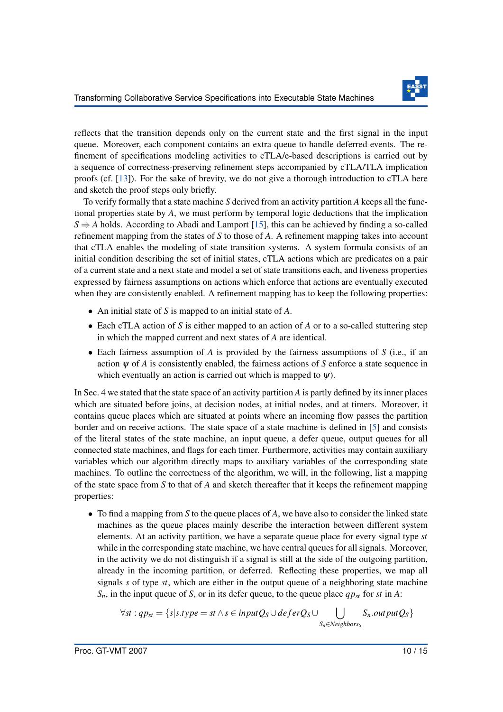

reflects that the transition depends only on the current state and the first signal in the input queue. Moreover, each component contains an extra queue to handle deferred events. The refinement of specifications modeling activities to cTLA/e-based descriptions is carried out by a sequence of correctness-preserving refinement steps accompanied by cTLA/TLA implication proofs (cf. [\[13\]](#page-15-5)). For the sake of brevity, we do not give a thorough introduction to cTLA here and sketch the proof steps only briefly.

To verify formally that a state machine *S* derived from an activity partition *A* keeps all the functional properties state by *A*, we must perform by temporal logic deductions that the implication  $S \Rightarrow A$  holds. According to Abadi and Lamport [\[15\]](#page-15-7), this can be achieved by finding a so-called refinement mapping from the states of *S* to those of *A*. A refinement mapping takes into account that cTLA enables the modeling of state transition systems. A system formula consists of an initial condition describing the set of initial states, cTLA actions which are predicates on a pair of a current state and a next state and model a set of state transitions each, and liveness properties expressed by fairness assumptions on actions which enforce that actions are eventually executed when they are consistently enabled. A refinement mapping has to keep the following properties:

- An initial state of *S* is mapped to an initial state of *A*.
- Each cTLA action of *S* is either mapped to an action of *A* or to a so-called stuttering step in which the mapped current and next states of *A* are identical.
- Each fairness assumption of *A* is provided by the fairness assumptions of *S* (i.e., if an action  $\psi$  of *A* is consistently enabled, the fairness actions of *S* enforce a state sequence in which eventually an action is carried out which is mapped to  $\psi$ ).

In Sec. 4 we stated that the state space of an activity partition *A* is partly defined by its inner places which are situated before joins, at decision nodes, at initial nodes, and at timers. Moreover, it contains queue places which are situated at points where an incoming flow passes the partition border and on receive actions. The state space of a state machine is defined in [\[5\]](#page-14-4) and consists of the literal states of the state machine, an input queue, a defer queue, output queues for all connected state machines, and flags for each timer. Furthermore, activities may contain auxiliary variables which our algorithm directly maps to auxiliary variables of the corresponding state machines. To outline the correctness of the algorithm, we will, in the following, list a mapping of the state space from *S* to that of *A* and sketch thereafter that it keeps the refinement mapping properties:

• To find a mapping from *S* to the queue places of *A*, we have also to consider the linked state machines as the queue places mainly describe the interaction between different system elements. At an activity partition, we have a separate queue place for every signal type *st* while in the corresponding state machine, we have central queues for all signals. Moreover, in the activity we do not distinguish if a signal is still at the side of the outgoing partition, already in the incoming partition, or deferred. Reflecting these properties, we map all signals *s* of type *st*, which are either in the output queue of a neighboring state machine *Sn*, in the input queue of *S*, or in its defer queue, to the queue place *qpst* for *st* in *A*:

$$
\forall st : qp_{st} = \{s | s.\textit{type} = st \land s \in inputQ_S \cup \textit{deferQ}_S \cup \bigcup_{S_n \in \textit{Neighbors}} S_n.\textit{out putQ}_S\}
$$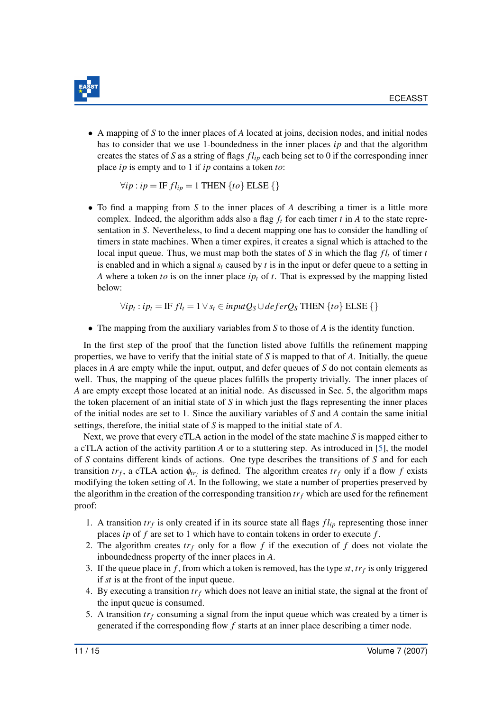

• A mapping of *S* to the inner places of *A* located at joins, decision nodes, and initial nodes has to consider that we use 1-boundedness in the inner places *ip* and that the algorithm creates the states of *S* as a string of flags *f lip* each being set to 0 if the corresponding inner place *ip* is empty and to 1 if *ip* contains a token *to*:

$$
\forall ip : ip = \text{IF } fl_{ip} = 1 \text{ THEN } \{to\} \text{ ELSE } \{\}
$$

• To find a mapping from *S* to the inner places of *A* describing a timer is a little more complex. Indeed, the algorithm adds also a flag  $f_t$  for each timer  $t$  in  $A$  to the state representation in *S*. Nevertheless, to find a decent mapping one has to consider the handling of timers in state machines. When a timer expires, it creates a signal which is attached to the local input queue. Thus, we must map both the states of *S* in which the flag  $fl<sub>t</sub>$  of timer *t* is enabled and in which a signal  $s_t$  caused by  $t$  is in the input or defer queue to a setting in *A* where a token *to* is on the inner place *ip<sup>t</sup>* of *t*. That is expressed by the mapping listed below:

 $\forall i p_t : i p_t = \text{IF } fl_t = 1 ∨ s_t \in input Q_S ∪ deferQ_S \text{ THEN } {to} \$ 

• The mapping from the auxiliary variables from *S* to those of *A* is the identity function.

In the first step of the proof that the function listed above fulfills the refinement mapping properties, we have to verify that the initial state of *S* is mapped to that of *A*. Initially, the queue places in *A* are empty while the input, output, and defer queues of *S* do not contain elements as well. Thus, the mapping of the queue places fulfills the property trivially. The inner places of *A* are empty except those located at an initial node. As discussed in Sec. 5, the algorithm maps the token placement of an initial state of *S* in which just the flags representing the inner places of the initial nodes are set to 1. Since the auxiliary variables of *S* and *A* contain the same initial settings, therefore, the initial state of *S* is mapped to the initial state of *A*.

Next, we prove that every cTLA action in the model of the state machine *S* is mapped either to a cTLA action of the activity partition *A* or to a stuttering step. As introduced in [\[5\]](#page-14-4), the model of *S* contains different kinds of actions. One type describes the transitions of *S* and for each transition  $tr_f$ , a cTLA action  $\phi_{tr_f}$  is defined. The algorithm creates  $tr_f$  only if a flow  $f$  exists modifying the token setting of *A*. In the following, we state a number of properties preserved by the algorithm in the creation of the corresponding transition *tr<sup>f</sup>* which are used for the refinement proof:

- 1. A transition  $tr_f$  is only created if in its source state all flags  $fl_{ip}$  representing those inner places *ip* of *f* are set to 1 which have to contain tokens in order to execute *f* .
- 2. The algorithm creates *tr<sup>f</sup>* only for a flow *f* if the execution of *f* does not violate the inboundedness property of the inner places in *A*.
- 3. If the queue place in *f* , from which a token is removed, has the type *st*, *tr<sup>f</sup>* is only triggered if *st* is at the front of the input queue.
- 4. By executing a transition  $tr_f$  which does not leave an initial state, the signal at the front of the input queue is consumed.
- 5. A transition  $tr_f$  consuming a signal from the input queue which was created by a timer is generated if the corresponding flow *f* starts at an inner place describing a timer node.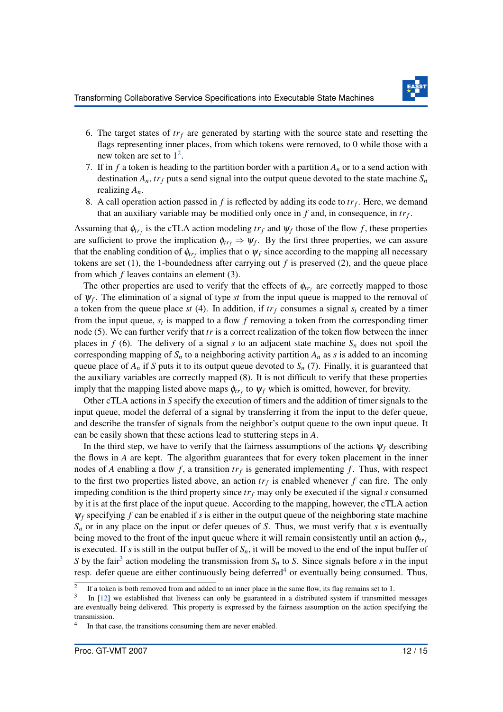

- 6. The target states of  $tr_f$  are generated by starting with the source state and resetting the flags representing inner places, from which tokens were removed, to 0 while those with a new token are set to  $1^2$  $1^2$ .
- 7. If in  $f$  a token is heading to the partition border with a partition  $A_n$  or to a send action with destination  $A_n$ ,  $tr_f$  puts a send signal into the output queue devoted to the state machine  $S_n$ realizing *An*.
- 8. A call operation action passed in  $f$  is reflected by adding its code to  $tr_f$ . Here, we demand that an auxiliary variable may be modified only once in *f* and, in consequence, in *tr<sup>f</sup>* .

Assuming that  $\phi_{tr_f}$  is the cTLA action modeling  $tr_f$  and  $\psi_f$  those of the flow *f*, these properties are sufficient to prove the implication  $\phi_{tr_f} \Rightarrow \psi_f$ . By the first three properties, we can assure that the enabling condition of  $\phi_{tr_f}$  implies that o  $\psi_f$  since according to the mapping all necessary tokens are set  $(1)$ , the 1-boundedness after carrying out  $f$  is preserved  $(2)$ , and the queue place from which *f* leaves contains an element (3).

The other properties are used to verify that the effects of  $\phi_{tr_f}$  are correctly mapped to those of ψ*<sup>f</sup>* . The elimination of a signal of type *st* from the input queue is mapped to the removal of a token from the queue place  $st(4)$ . In addition, if  $tr_f$  consumes a signal  $s_f$  created by a timer from the input queue, *s<sup>t</sup>* is mapped to a flow *f* removing a token from the corresponding timer node (5). We can further verify that *tr* is a correct realization of the token flow between the inner places in *f* (6). The delivery of a signal *s* to an adjacent state machine  $S_n$  does not spoil the corresponding mapping of  $S_n$  to a neighboring activity partition  $A_n$  as *s* is added to an incoming queue place of  $A_n$  if *S* puts it to its output queue devoted to  $S_n$  (7). Finally, it is guaranteed that the auxiliary variables are correctly mapped (8). It is not difficult to verify that these properties imply that the mapping listed above maps  $\phi_{tr_f}$  to  $\psi_f$  which is omitted, however, for brevity.

Other cTLA actions in *S* specify the execution of timers and the addition of timer signals to the input queue, model the deferral of a signal by transferring it from the input to the defer queue, and describe the transfer of signals from the neighbor's output queue to the own input queue. It can be easily shown that these actions lead to stuttering steps in *A*.

In the third step, we have to verify that the fairness assumptions of the actions  $\psi_f$  describing the flows in *A* are kept. The algorithm guarantees that for every token placement in the inner nodes of *A* enabling a flow *f*, a transition  $tr_f$  is generated implementing *f*. Thus, with respect to the first two properties listed above, an action  $tr_f$  is enabled whenever  $f$  can fire. The only impeding condition is the third property since  $tr_f$  may only be executed if the signal *s* consumed by it is at the first place of the input queue. According to the mapping, however, the cTLA action  $\psi_f$  specifying *f* can be enabled if *s* is either in the output queue of the neighboring state machine *S<sup>n</sup>* or in any place on the input or defer queues of *S*. Thus, we must verify that *s* is eventually being moved to the front of the input queue where it will remain consistently until an action  $\phi_{tr}$ is executed. If *s* is still in the output buffer of  $S_n$ , it will be moved to the end of the input buffer of S by the fair<sup>[3](#page-12-1)</sup> action modeling the transmission from  $S_n$  to S. Since signals before *s* in the input resp. defer queue are either continuously being deferred<sup>[4](#page-12-2)</sup> or eventually being consumed. Thus,

<span id="page-12-0"></span> $\overline{2}$ If a token is both removed from and added to an inner place in the same flow, its flag remains set to 1.

<span id="page-12-1"></span><sup>3</sup> In [\[12\]](#page-15-4) we established that liveness can only be guaranteed in a distributed system if transmitted messages are eventually being delivered. This property is expressed by the fairness assumption on the action specifying the transmission.

<span id="page-12-2"></span><sup>4</sup> In that case, the transitions consuming them are never enabled.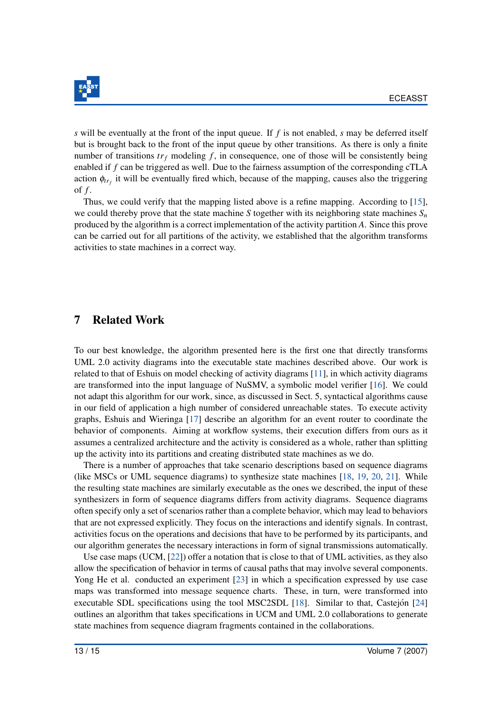

*s* will be eventually at the front of the input queue. If *f* is not enabled, *s* may be deferred itself but is brought back to the front of the input queue by other transitions. As there is only a finite number of transitions  $tr_f$  modeling  $f$ , in consequence, one of those will be consistently being enabled if *f* can be triggered as well. Due to the fairness assumption of the corresponding cTLA action  $\phi_{tr_f}$  it will be eventually fired which, because of the mapping, causes also the triggering of *f* .

Thus, we could verify that the mapping listed above is a refine mapping. According to [\[15\]](#page-15-7), we could thereby prove that the state machine *S* together with its neighboring state machines  $S_n$ produced by the algorithm is a correct implementation of the activity partition *A*. Since this prove can be carried out for all partitions of the activity, we established that the algorithm transforms activities to state machines in a correct way.

#### 7 Related Work

To our best knowledge, the algorithm presented here is the first one that directly transforms UML 2.0 activity diagrams into the executable state machines described above. Our work is related to that of Eshuis on model checking of activity diagrams [\[11\]](#page-15-8), in which activity diagrams are transformed into the input language of NuSMV, a symbolic model verifier [\[16\]](#page-15-9). We could not adapt this algorithm for our work, since, as discussed in Sect. 5, syntactical algorithms cause in our field of application a high number of considered unreachable states. To execute activity graphs, Eshuis and Wieringa [\[17\]](#page-15-10) describe an algorithm for an event router to coordinate the behavior of components. Aiming at workflow systems, their execution differs from ours as it assumes a centralized architecture and the activity is considered as a whole, rather than splitting up the activity into its partitions and creating distributed state machines as we do.

There is a number of approaches that take scenario descriptions based on sequence diagrams (like MSCs or UML sequence diagrams) to synthesize state machines [\[18,](#page-15-11) [19,](#page-15-12) [20,](#page-15-13) [21\]](#page-15-14). While the resulting state machines are similarly executable as the ones we described, the input of these synthesizers in form of sequence diagrams differs from activity diagrams. Sequence diagrams often specify only a set of scenarios rather than a complete behavior, which may lead to behaviors that are not expressed explicitly. They focus on the interactions and identify signals. In contrast, activities focus on the operations and decisions that have to be performed by its participants, and our algorithm generates the necessary interactions in form of signal transmissions automatically.

Use case maps (UCM, [\[22\]](#page-15-15)) offer a notation that is close to that of UML activities, as they also allow the specification of behavior in terms of causal paths that may involve several components. Yong He et al. conducted an experiment [\[23\]](#page-15-16) in which a specification expressed by use case maps was transformed into message sequence charts. These, in turn, were transformed into executable SDL specifications using the tool MSC2SDL  $[18]$ . Similar to that, Castejon  $[24]$  $[24]$ outlines an algorithm that takes specifications in UCM and UML 2.0 collaborations to generate state machines from sequence diagram fragments contained in the collaborations.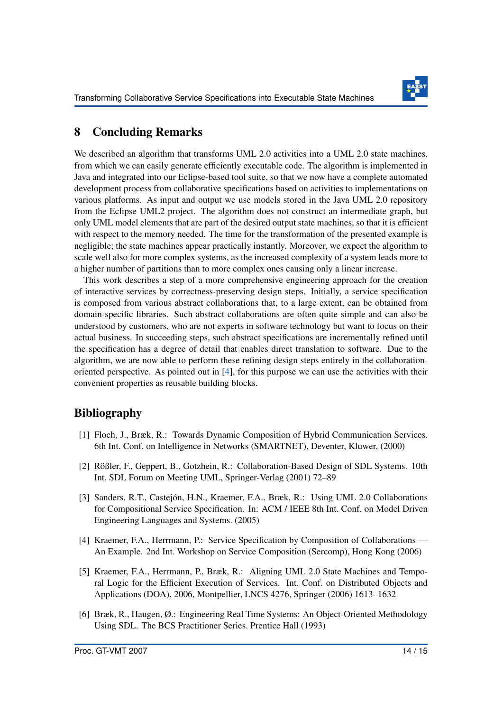

## 8 Concluding Remarks

We described an algorithm that transforms UML 2.0 activities into a UML 2.0 state machines, from which we can easily generate efficiently executable code. The algorithm is implemented in Java and integrated into our Eclipse-based tool suite, so that we now have a complete automated development process from collaborative specifications based on activities to implementations on various platforms. As input and output we use models stored in the Java UML 2.0 repository from the Eclipse UML2 project. The algorithm does not construct an intermediate graph, but only UML model elements that are part of the desired output state machines, so that it is efficient with respect to the memory needed. The time for the transformation of the presented example is negligible; the state machines appear practically instantly. Moreover, we expect the algorithm to scale well also for more complex systems, as the increased complexity of a system leads more to a higher number of partitions than to more complex ones causing only a linear increase.

This work describes a step of a more comprehensive engineering approach for the creation of interactive services by correctness-preserving design steps. Initially, a service specification is composed from various abstract collaborations that, to a large extent, can be obtained from domain-specific libraries. Such abstract collaborations are often quite simple and can also be understood by customers, who are not experts in software technology but want to focus on their actual business. In succeeding steps, such abstract specifications are incrementally refined until the specification has a degree of detail that enables direct translation to software. Due to the algorithm, we are now able to perform these refining design steps entirely in the collaborationoriented perspective. As pointed out in [\[4\]](#page-14-3), for this purpose we can use the activities with their convenient properties as reusable building blocks.

### Bibliography

- <span id="page-14-0"></span>[1] Floch, J., Bræk, R.: Towards Dynamic Composition of Hybrid Communication Services. 6th Int. Conf. on Intelligence in Networks (SMARTNET), Deventer, Kluwer, (2000)
- <span id="page-14-1"></span>[2] Rößler, F., Geppert, B., Gotzhein, R.: Collaboration-Based Design of SDL Systems. 10th Int. SDL Forum on Meeting UML, Springer-Verlag (2001) 72–89
- <span id="page-14-2"></span>[3] Sanders, R.T., Castejón, H.N., Kraemer, F.A., Bræk, R.: Using UML 2.0 Collaborations for Compositional Service Specification. In: ACM / IEEE 8th Int. Conf. on Model Driven Engineering Languages and Systems. (2005)
- <span id="page-14-3"></span>[4] Kraemer, F.A., Herrmann, P.: Service Specification by Composition of Collaborations — An Example. 2nd Int. Workshop on Service Composition (Sercomp), Hong Kong (2006)
- <span id="page-14-4"></span>[5] Kraemer, F.A., Herrmann, P., Bræk, R.: Aligning UML 2.0 State Machines and Temporal Logic for the Efficient Execution of Services. Int. Conf. on Distributed Objects and Applications (DOA), 2006, Montpellier, LNCS 4276, Springer (2006) 1613–1632
- <span id="page-14-5"></span>[6] Bræk, R., Haugen, Ø.: Engineering Real Time Systems: An Object-Oriented Methodology Using SDL. The BCS Practitioner Series. Prentice Hall (1993)